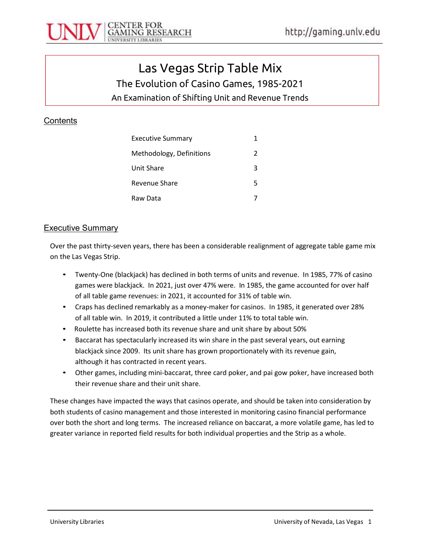

# Las Vegas Strip Table Mix The Evolution of Casino Games, 1985-2021

An Examination of Shifting Unit and Revenue Trends

### **Contents**

| Executive Summary        | 1             |
|--------------------------|---------------|
| Methodology, Definitions | $\mathcal{P}$ |
| Unit Share               | 3             |
| Revenue Share            | 5             |
| Raw Data                 |               |

#### Executive Summary

Over the past thirty-seven years, there has been a considerable realignment of aggregate table game mix on the Las Vegas Strip.

- Twenty-One (blackjack) has declined in both terms of units and revenue. In 1985, 77% of casino games were blackjack. In 2021, just over 47% were. In 1985, the game accounted for over half of all table game revenues: in 2021, it accounted for 31% of table win.
- Craps has declined remarkably as a money-maker for casinos. In 1985, it generated over 28% of all table win. In 2019, it contributed a little under 11% to total table win.
- Roulette has increased both its revenue share and unit share by about 50%
- Baccarat has spectacularly increased its win share in the past several years, out earning blackjack since 2009. Its unit share has grown proportionately with its revenue gain, although it has contracted in recent years.
- Other games, including mini-baccarat, three card poker, and pai gow poker, have increased both their revenue share and their unit share.

These changes have impacted the ways that casinos operate, and should be taken into consideration by both students of casino management and those interested in monitoring casino financial performance over both the short and long terms. The increased reliance on baccarat, a more volatile game, has led to greater variance in reported field results for both individual properties and the Strip as a whole.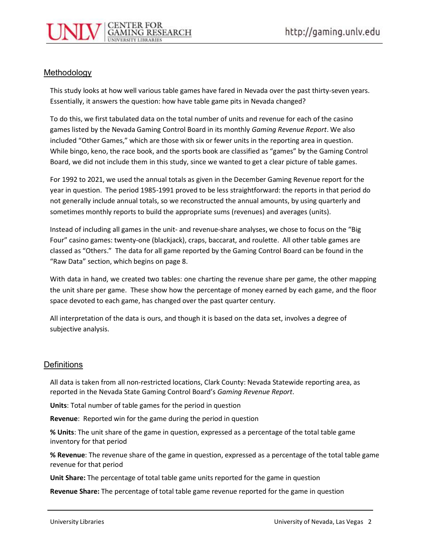#### Methodology

This study looks at how well various table games have fared in Nevada over the past thirty-seven years. Essentially, it answers the question: how have table game pits in Nevada changed?

To do this, we first tabulated data on the total number of units and revenue for each of the casino games listed by the Nevada Gaming Control Board in its monthly Gaming Revenue Report. We also included "Other Games," which are those with six or fewer units in the reporting area in question. While bingo, keno, the race book, and the sports book are classified as "games" by the Gaming Control Board, we did not include them in this study, since we wanted to get a clear picture of table games.

For 1992 to 2021, we used the annual totals as given in the December Gaming Revenue report for the year in question. The period 1985-1991 proved to be less straightforward: the reports in that period do not generally include annual totals, so we reconstructed the annual amounts, by using quarterly and sometimes monthly reports to build the appropriate sums (revenues) and averages (units).

Instead of including all games in the unit- and revenue-share analyses, we chose to focus on the "Big Four" casino games: twenty-one (blackjack), craps, baccarat, and roulette. All other table games are classed as "Others." The data for all game reported by the Gaming Control Board can be found in the "Raw Data" section, which begins on page 8.

With data in hand, we created two tables: one charting the revenue share per game, the other mapping the unit share per game. These show how the percentage of money earned by each game, and the floor space devoted to each game, has changed over the past quarter century.

All interpretation of the data is ours, and though it is based on the data set, involves a degree of subjective analysis.

#### **Definitions**

All data is taken from all non-restricted locations, Clark County: Nevada Statewide reporting area, as reported in the Nevada State Gaming Control Board's Gaming Revenue Report.

Units: Total number of table games for the period in question

Revenue: Reported win for the game during the period in question

% Units: The unit share of the game in question, expressed as a percentage of the total table game inventory for that period

% Revenue: The revenue share of the game in question, expressed as a percentage of the total table game revenue for that period

Unit Share: The percentage of total table game units reported for the game in question

Revenue Share: The percentage of total table game revenue reported for the game in question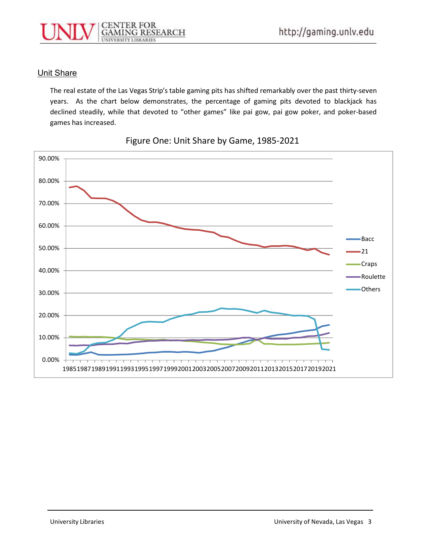

#### Unit Share

The real estate of the Las Vegas Strip's table gaming pits has shifted remarkably over the past thirty-seven years. As the chart below demonstrates, the percentage of gaming pits devoted to blackjack has declined steadily, while that devoted to "other games" like pai gow, pai gow poker, and poker-based games has increased.



Figure One: Unit Share by Game, 1985-2021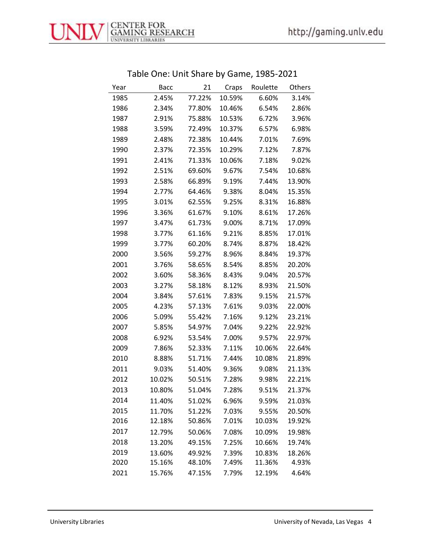

| Roulette<br>Others |
|--------------------|
|                    |
| 6.60%<br>3.14%     |
| 6.54%<br>2.86%     |
| 6.72%<br>3.96%     |
| 6.57%<br>6.98%     |
| 7.01%<br>7.69%     |
| 7.12%<br>7.87%     |
| 7.18%<br>9.02%     |
| 7.54%<br>10.68%    |
| 7.44%<br>13.90%    |
| 8.04%<br>15.35%    |
| 8.31%<br>16.88%    |
| 8.61%<br>17.26%    |
| 8.71%<br>17.09%    |
| 8.85%<br>17.01%    |
| 8.87%<br>18.42%    |
| 8.84%<br>19.37%    |
| 8.85%<br>20.20%    |
| 9.04%<br>20.57%    |
| 8.93%<br>21.50%    |
| 9.15%<br>21.57%    |
| 9.03%<br>22.00%    |
| 9.12%<br>23.21%    |
| 9.22%<br>22.92%    |
| 9.57%<br>22.97%    |
| 10.06%<br>22.64%   |
| 10.08%<br>21.89%   |
| 9.08%<br>21.13%    |
| 9.98%<br>22.21%    |
| 9.51%<br>21.37%    |
| 9.59%<br>21.03%    |
| 9.55%<br>20.50%    |
| 19.92%<br>10.03%   |
| 10.09%<br>19.98%   |
| 10.66%<br>19.74%   |
| 10.83%<br>18.26%   |
| 11.36%<br>4.93%    |
| 12.19%<br>4.64%    |
|                    |

# Table One: Unit Share by Game, 1985-2021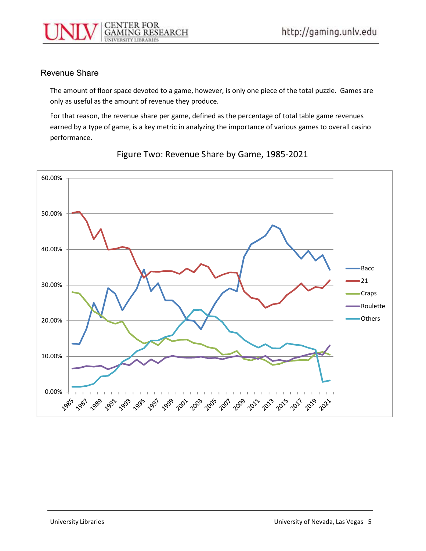

#### Revenue Share

The amount of floor space devoted to a game, however, is only one piece of the total puzzle. Games are only as useful as the amount of revenue they produce.

For that reason, the revenue share per game, defined as the percentage of total table game revenues earned by a type of game, is a key metric in analyzing the importance of various games to overall casino performance.



Figure Two: Revenue Share by Game, 1985-2021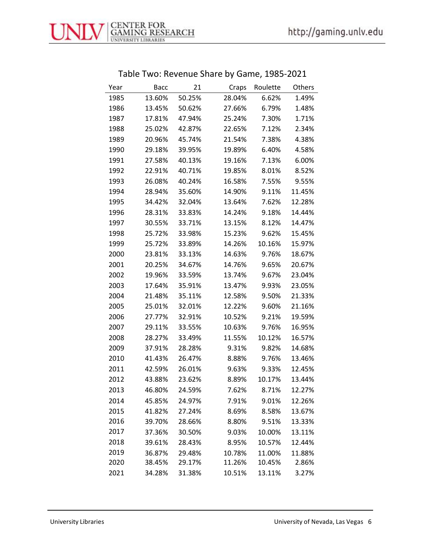

| Table Two: Revenue Share by Game, 1985-2021 |  |  |
|---------------------------------------------|--|--|
|                                             |  |  |

| Year | Bacc   | 21     | Craps  | Roulette | Others |
|------|--------|--------|--------|----------|--------|
| 1985 | 13.60% | 50.25% | 28.04% | 6.62%    | 1.49%  |
| 1986 | 13.45% | 50.62% | 27.66% | 6.79%    | 1.48%  |
| 1987 | 17.81% | 47.94% | 25.24% | 7.30%    | 1.71%  |
| 1988 | 25.02% | 42.87% | 22.65% | 7.12%    | 2.34%  |
| 1989 | 20.96% | 45.74% | 21.54% | 7.38%    | 4.38%  |
| 1990 | 29.18% | 39.95% | 19.89% | 6.40%    | 4.58%  |
| 1991 | 27.58% | 40.13% | 19.16% | 7.13%    | 6.00%  |
| 1992 | 22.91% | 40.71% | 19.85% | 8.01%    | 8.52%  |
| 1993 | 26.08% | 40.24% | 16.58% | 7.55%    | 9.55%  |
| 1994 | 28.94% | 35.60% | 14.90% | 9.11%    | 11.45% |
| 1995 | 34.42% | 32.04% | 13.64% | 7.62%    | 12.28% |
| 1996 | 28.31% | 33.83% | 14.24% | 9.18%    | 14.44% |
| 1997 | 30.55% | 33.71% | 13.15% | 8.12%    | 14.47% |
| 1998 | 25.72% | 33.98% | 15.23% | 9.62%    | 15.45% |
| 1999 | 25.72% | 33.89% | 14.26% | 10.16%   | 15.97% |
| 2000 | 23.81% | 33.13% | 14.63% | 9.76%    | 18.67% |
| 2001 | 20.25% | 34.67% | 14.76% | 9.65%    | 20.67% |
| 2002 | 19.96% | 33.59% | 13.74% | 9.67%    | 23.04% |
| 2003 | 17.64% | 35.91% | 13.47% | 9.93%    | 23.05% |
| 2004 | 21.48% | 35.11% | 12.58% | 9.50%    | 21.33% |
| 2005 | 25.01% | 32.01% | 12.22% | 9.60%    | 21.16% |
| 2006 | 27.77% | 32.91% | 10.52% | 9.21%    | 19.59% |
| 2007 | 29.11% | 33.55% | 10.63% | 9.76%    | 16.95% |
| 2008 | 28.27% | 33.49% | 11.55% | 10.12%   | 16.57% |
| 2009 | 37.91% | 28.28% | 9.31%  | 9.82%    | 14.68% |
| 2010 | 41.43% | 26.47% | 8.88%  | 9.76%    | 13.46% |
| 2011 | 42.59% | 26.01% | 9.63%  | 9.33%    | 12.45% |
| 2012 | 43.88% | 23.62% | 8.89%  | 10.17%   | 13.44% |
| 2013 | 46.80% | 24.59% | 7.62%  | 8.71%    | 12.27% |
| 2014 | 45.85% | 24.97% | 7.91%  | 9.01%    | 12.26% |
| 2015 | 41.82% | 27.24% | 8.69%  | 8.58%    | 13.67% |
| 2016 | 39.70% | 28.66% | 8.80%  | 9.51%    | 13.33% |
| 2017 | 37.36% | 30.50% | 9.03%  | 10.00%   | 13.11% |
| 2018 | 39.61% | 28.43% | 8.95%  | 10.57%   | 12.44% |
| 2019 | 36.87% | 29.48% | 10.78% | 11.00%   | 11.88% |
| 2020 | 38.45% | 29.17% | 11.26% | 10.45%   | 2.86%  |
| 2021 | 34.28% | 31.38% | 10.51% | 13.11%   | 3.27%  |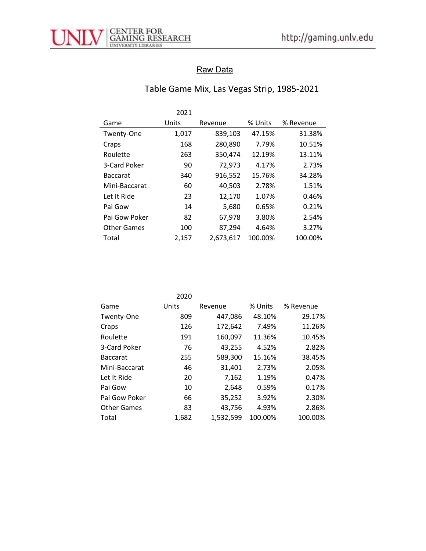

## Raw Data

# Table Game Mix, Las Vegas Strip, 1985-2021

|                    | 2021  |           |         |           |
|--------------------|-------|-----------|---------|-----------|
| Game               | Units | Revenue   | % Units | % Revenue |
| Twenty-One         | 1,017 | 839,103   | 47.15%  | 31.38%    |
| Craps              | 168   | 280,890   | 7.79%   | 10.51%    |
| Roulette           | 263   | 350,474   | 12.19%  | 13.11%    |
| 3-Card Poker       | 90    | 72,973    | 4.17%   | 2.73%     |
| <b>Baccarat</b>    | 340   | 916,552   | 15.76%  | 34.28%    |
| Mini-Baccarat      | 60    | 40,503    | 2.78%   | 1.51%     |
| Let It Ride        | 23    | 12,170    | 1.07%   | 0.46%     |
| Pai Gow            | 14    | 5,680     | 0.65%   | 0.21%     |
| Pai Gow Poker      | 82    | 67,978    | 3.80%   | 2.54%     |
| <b>Other Games</b> | 100   | 87,294    | 4.64%   | 3.27%     |
| Total              | 2,157 | 2,673,617 | 100.00% | 100.00%   |

2020

| Game               | Units | Revenue   | % Units | % Revenue |
|--------------------|-------|-----------|---------|-----------|
| Twenty-One         | 809   | 447,086   | 48.10%  | 29.17%    |
| Craps              | 126   | 172,642   | 7.49%   | 11.26%    |
| Roulette           | 191   | 160,097   | 11.36%  | 10.45%    |
| 3-Card Poker       | 76    | 43,255    | 4.52%   | 2.82%     |
| <b>Baccarat</b>    | 255   | 589,300   | 15.16%  | 38.45%    |
| Mini-Baccarat      | 46    | 31,401    | 2.73%   | 2.05%     |
| Let It Ride        | 20    | 7.162     | 1.19%   | 0.47%     |
| Pai Gow            | 10    | 2,648     | 0.59%   | 0.17%     |
| Pai Gow Poker      | 66    | 35,252    | 3.92%   | 2.30%     |
| <b>Other Games</b> | 83    | 43,756    | 4.93%   | 2.86%     |
| Total              | 1,682 | 1,532,599 | 100.00% | 100.00%   |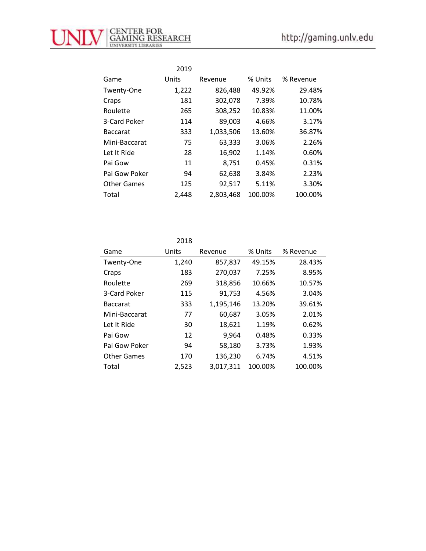

|                    | 2019  |           |         |           |
|--------------------|-------|-----------|---------|-----------|
| Game               | Units | Revenue   | % Units | % Revenue |
| Twenty-One         | 1,222 | 826,488   | 49.92%  | 29.48%    |
| Craps              | 181   | 302,078   | 7.39%   | 10.78%    |
| Roulette           | 265   | 308,252   | 10.83%  | 11.00%    |
| 3-Card Poker       | 114   | 89,003    | 4.66%   | 3.17%     |
| <b>Baccarat</b>    | 333   | 1,033,506 | 13.60%  | 36.87%    |
| Mini-Baccarat      | 75    | 63,333    | 3.06%   | 2.26%     |
| Let It Ride        | 28    | 16,902    | 1.14%   | 0.60%     |
| Pai Gow            | 11    | 8,751     | 0.45%   | 0.31%     |
| Pai Gow Poker      | 94    | 62,638    | 3.84%   | 2.23%     |
| <b>Other Games</b> | 125   | 92,517    | 5.11%   | 3.30%     |
| Total              | 2,448 | 2,803,468 | 100.00% | 100.00%   |

2018

| Game               | Units | Revenue   | % Units | % Revenue |
|--------------------|-------|-----------|---------|-----------|
| Twenty-One         | 1,240 | 857,837   | 49.15%  | 28.43%    |
| Craps              | 183   | 270,037   | 7.25%   | 8.95%     |
| Roulette           | 269   | 318,856   | 10.66%  | 10.57%    |
| 3-Card Poker       | 115   | 91,753    | 4.56%   | 3.04%     |
| <b>Baccarat</b>    | 333   | 1,195,146 | 13.20%  | 39.61%    |
| Mini-Baccarat      | 77    | 60,687    | 3.05%   | 2.01%     |
| Let It Ride        | 30    | 18,621    | 1.19%   | 0.62%     |
| Pai Gow            | 12    | 9,964     | 0.48%   | 0.33%     |
| Pai Gow Poker      | 94    | 58,180    | 3.73%   | 1.93%     |
| <b>Other Games</b> | 170   | 136,230   | 6.74%   | 4.51%     |
| Total              | 2,523 | 3,017,311 | 100.00% | 100.00%   |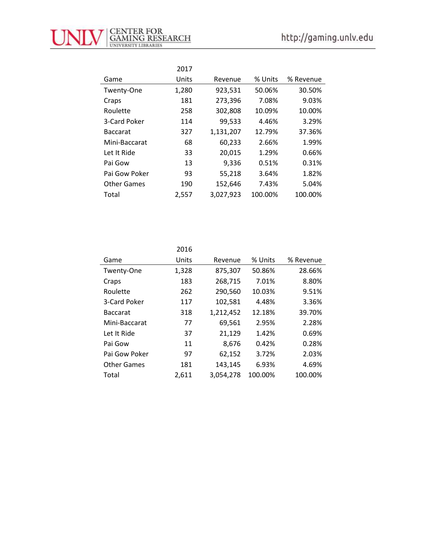

|                    | 2017  |           |         |           |
|--------------------|-------|-----------|---------|-----------|
| Game               | Units | Revenue   | % Units | % Revenue |
| Twenty-One         | 1,280 | 923,531   | 50.06%  | 30.50%    |
| Craps              | 181   | 273,396   | 7.08%   | 9.03%     |
| Roulette           | 258   | 302,808   | 10.09%  | 10.00%    |
| 3-Card Poker       | 114   | 99,533    | 4.46%   | 3.29%     |
| <b>Baccarat</b>    | 327   | 1,131,207 | 12.79%  | 37.36%    |
| Mini-Baccarat      | 68    | 60,233    | 2.66%   | 1.99%     |
| Let It Ride        | 33    | 20,015    | 1.29%   | 0.66%     |
| Pai Gow            | 13    | 9,336     | 0.51%   | 0.31%     |
| Pai Gow Poker      | 93    | 55,218    | 3.64%   | 1.82%     |
| <b>Other Games</b> | 190   | 152,646   | 7.43%   | 5.04%     |
| Total              | 2,557 | 3,027,923 | 100.00% | 100.00%   |

|                    | 2016  |           |         |           |
|--------------------|-------|-----------|---------|-----------|
| Game               | Units | Revenue   | % Units | % Revenue |
| Twenty-One         | 1,328 | 875,307   | 50.86%  | 28.66%    |
| Craps              | 183   | 268,715   | 7.01%   | 8.80%     |
| Roulette           | 262   | 290,560   | 10.03%  | 9.51%     |
| 3-Card Poker       | 117   | 102,581   | 4.48%   | 3.36%     |
| <b>Baccarat</b>    | 318   | 1,212,452 | 12.18%  | 39.70%    |
| Mini-Baccarat      | 77    | 69,561    | 2.95%   | 2.28%     |
| Let It Ride        | 37    | 21,129    | 1.42%   | 0.69%     |
| Pai Gow            | 11    | 8,676     | 0.42%   | 0.28%     |
| Pai Gow Poker      | 97    | 62,152    | 3.72%   | 2.03%     |
| <b>Other Games</b> | 181   | 143,145   | 6.93%   | 4.69%     |
| Total              | 2.611 | 3.054.278 | 100.00% | 100.00%   |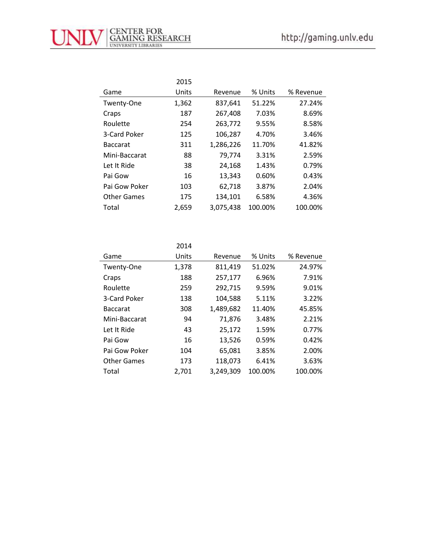

|                    | 2015  |           |         |           |
|--------------------|-------|-----------|---------|-----------|
| Game               | Units | Revenue   | % Units | % Revenue |
| Twenty-One         | 1,362 | 837,641   | 51.22%  | 27.24%    |
| Craps              | 187   | 267,408   | 7.03%   | 8.69%     |
| Roulette           | 254   | 263,772   | 9.55%   | 8.58%     |
| 3-Card Poker       | 125   | 106,287   | 4.70%   | 3.46%     |
| <b>Baccarat</b>    | 311   | 1,286,226 | 11.70%  | 41.82%    |
| Mini-Baccarat      | 88    | 79,774    | 3.31%   | 2.59%     |
| Let It Ride        | 38    | 24,168    | 1.43%   | 0.79%     |
| Pai Gow            | 16    | 13,343    | 0.60%   | 0.43%     |
| Pai Gow Poker      | 103   | 62,718    | 3.87%   | 2.04%     |
| <b>Other Games</b> | 175   | 134,101   | 6.58%   | 4.36%     |
| Total              | 2,659 | 3,075,438 | 100.00% | 100.00%   |

2014

| Game               | Units | Revenue   | % Units | % Revenue |
|--------------------|-------|-----------|---------|-----------|
| Twenty-One         | 1,378 | 811,419   | 51.02%  | 24.97%    |
| Craps              | 188   | 257,177   | 6.96%   | 7.91%     |
| Roulette           | 259   | 292,715   | 9.59%   | 9.01%     |
| 3-Card Poker       | 138   | 104,588   | 5.11%   | 3.22%     |
| <b>Baccarat</b>    | 308   | 1,489,682 | 11.40%  | 45.85%    |
| Mini-Baccarat      | 94    | 71,876    | 3.48%   | 2.21%     |
| Let It Ride        | 43    | 25,172    | 1.59%   | 0.77%     |
| Pai Gow            | 16    | 13,526    | 0.59%   | 0.42%     |
| Pai Gow Poker      | 104   | 65,081    | 3.85%   | 2.00%     |
| <b>Other Games</b> | 173   | 118,073   | 6.41%   | 3.63%     |
| Total              | 2,701 | 3,249,309 | 100.00% | 100.00%   |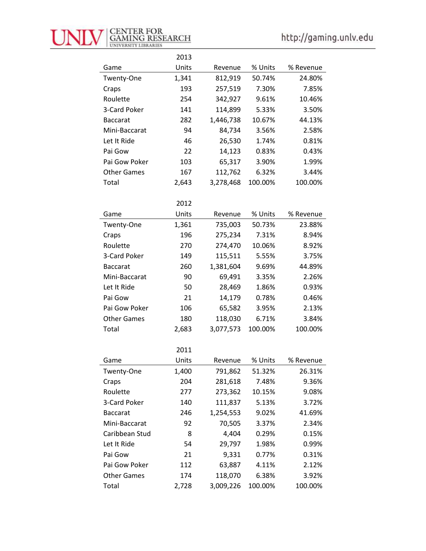

|                    | 2013  |           |         |           |
|--------------------|-------|-----------|---------|-----------|
| Game               | Units | Revenue   | % Units | % Revenue |
| Twenty-One         | 1,341 | 812,919   | 50.74%  | 24.80%    |
| Craps              | 193   | 257,519   | 7.30%   | 7.85%     |
| Roulette           | 254   | 342,927   | 9.61%   | 10.46%    |
| 3-Card Poker       | 141   | 114,899   | 5.33%   | 3.50%     |
| <b>Baccarat</b>    | 282   | 1,446,738 | 10.67%  | 44.13%    |
| Mini-Baccarat      | 94    | 84,734    | 3.56%   | 2.58%     |
| Let It Ride        | 46    | 26,530    | 1.74%   | 0.81%     |
| Pai Gow            | 22    | 14,123    | 0.83%   | 0.43%     |
| Pai Gow Poker      | 103   | 65,317    | 3.90%   | 1.99%     |
| <b>Other Games</b> | 167   | 112,762   | 6.32%   | 3.44%     |
| Total              | 2,643 | 3,278,468 | 100.00% | 100.00%   |
|                    |       |           |         |           |
|                    | 2012  |           |         |           |
| Game               | Units | Revenue   | % Units | % Revenue |
| Twenty-One         | 1,361 | 735,003   | 50.73%  | 23.88%    |
| Craps              | 196   | 275,234   | 7.31%   | 8.94%     |
| Roulette           | 270   | 274,470   | 10.06%  | 8.92%     |
| 3-Card Poker       | 149   | 115,511   | 5.55%   | 3.75%     |
| <b>Baccarat</b>    | 260   | 1,381,604 | 9.69%   | 44.89%    |
| Mini-Baccarat      | 90    | 69,491    | 3.35%   | 2.26%     |
| Let It Ride        | 50    | 28,469    | 1.86%   | 0.93%     |
| Pai Gow            | 21    | 14,179    | 0.78%   | 0.46%     |
| Pai Gow Poker      | 106   | 65,582    | 3.95%   | 2.13%     |
| <b>Other Games</b> | 180   | 118,030   | 6.71%   | 3.84%     |
| Total              | 2,683 | 3,077,573 | 100.00% | 100.00%   |
|                    |       |           |         |           |
|                    | 2011  |           |         |           |
| Game               | Units | Revenue   | % Units | % Revenue |
| Twenty-One         | 1,400 | 791,862   | 51.32%  | 26.31%    |
| Craps              | 204   | 281,618   | 7.48%   | 9.36%     |
| Roulette           | 277   | 273,362   | 10.15%  | 9.08%     |
| 3-Card Poker       | 140   | 111,837   | 5.13%   | 3.72%     |
| <b>Baccarat</b>    | 246   | 1,254,553 | 9.02%   | 41.69%    |
| Mini-Baccarat      | 92    | 70,505    | 3.37%   | 2.34%     |
| Caribbean Stud     | 8     | 4,404     | 0.29%   | 0.15%     |
| Let It Ride        | 54    | 29,797    | 1.98%   | 0.99%     |
| Pai Gow            | 21    | 9,331     | 0.77%   | 0.31%     |
| Pai Gow Poker      | 112   | 63,887    | 4.11%   | 2.12%     |
| <b>Other Games</b> | 174   | 118,070   | 6.38%   | 3.92%     |
| Total              | 2,728 | 3,009,226 | 100.00% | 100.00%   |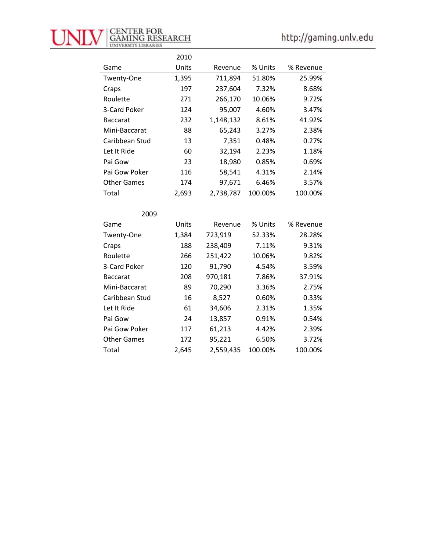

|                    | 2010  |           |         |           |
|--------------------|-------|-----------|---------|-----------|
| Game               | Units | Revenue   | % Units | % Revenue |
| Twenty-One         | 1,395 | 711,894   | 51.80%  | 25.99%    |
| Craps              | 197   | 237,604   | 7.32%   | 8.68%     |
| Roulette           | 271   | 266,170   | 10.06%  | 9.72%     |
| 3-Card Poker       | 124   | 95,007    | 4.60%   | 3.47%     |
| <b>Baccarat</b>    | 232   | 1,148,132 | 8.61%   | 41.92%    |
| Mini-Baccarat      | 88    | 65,243    | 3.27%   | 2.38%     |
| Caribbean Stud     | 13    | 7,351     | 0.48%   | 0.27%     |
| Let It Ride        | 60    | 32,194    | 2.23%   | 1.18%     |
| Pai Gow            | 23    | 18,980    | 0.85%   | 0.69%     |
| Pai Gow Poker      | 116   | 58,541    | 4.31%   | 2.14%     |
| <b>Other Games</b> | 174   | 97,671    | 6.46%   | 3.57%     |
| Total              | 2,693 | 2,738,787 | 100.00% | 100.00%   |

| 2009               |       |           |         |           |
|--------------------|-------|-----------|---------|-----------|
| Game               | Units | Revenue   | % Units | % Revenue |
| Twenty-One         | 1,384 | 723,919   | 52.33%  | 28.28%    |
| Craps              | 188   | 238,409   | 7.11%   | 9.31%     |
| Roulette           | 266   | 251,422   | 10.06%  | 9.82%     |
| 3-Card Poker       | 120   | 91,790    | 4.54%   | 3.59%     |
| <b>Baccarat</b>    | 208   | 970,181   | 7.86%   | 37.91%    |
| Mini-Baccarat      | 89    | 70,290    | 3.36%   | 2.75%     |
| Caribbean Stud     | 16    | 8,527     | 0.60%   | 0.33%     |
| Let It Ride        | 61    | 34,606    | 2.31%   | 1.35%     |
| Pai Gow            | 24    | 13,857    | 0.91%   | 0.54%     |
| Pai Gow Poker      | 117   | 61,213    | 4.42%   | 2.39%     |
| <b>Other Games</b> | 172   | 95,221    | 6.50%   | 3.72%     |
| Total              | 2,645 | 2,559,435 | 100.00% | 100.00%   |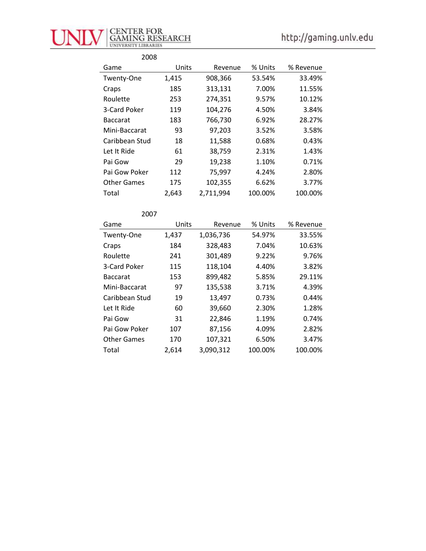

| 2008               |       |           |         |           |
|--------------------|-------|-----------|---------|-----------|
| Game               | Units | Revenue   | % Units | % Revenue |
| Twenty-One         | 1,415 | 908,366   | 53.54%  | 33.49%    |
| Craps              | 185   | 313,131   | 7.00%   | 11.55%    |
| Roulette           | 253   | 274,351   | 9.57%   | 10.12%    |
| 3-Card Poker       | 119   | 104,276   | 4.50%   | 3.84%     |
| <b>Baccarat</b>    | 183   | 766,730   | 6.92%   | 28.27%    |
| Mini-Baccarat      | 93    | 97,203    | 3.52%   | 3.58%     |
| Caribbean Stud     | 18    | 11,588    | 0.68%   | 0.43%     |
| Let It Ride        | 61    | 38,759    | 2.31%   | 1.43%     |
| Pai Gow            | 29    | 19,238    | 1.10%   | 0.71%     |
| Pai Gow Poker      | 112   | 75,997    | 4.24%   | 2.80%     |
| <b>Other Games</b> | 175   | 102,355   | 6.62%   | 3.77%     |
| Total              | 2,643 | 2,711,994 | 100.00% | 100.00%   |

| 2007               |       |           |         |           |
|--------------------|-------|-----------|---------|-----------|
| Game               | Units | Revenue   | % Units | % Revenue |
| Twenty-One         | 1,437 | 1,036,736 | 54.97%  | 33.55%    |
| Craps              | 184   | 328,483   | 7.04%   | 10.63%    |
| Roulette           | 241   | 301,489   | 9.22%   | 9.76%     |
| 3-Card Poker       | 115   | 118,104   | 4.40%   | 3.82%     |
| <b>Baccarat</b>    | 153   | 899,482   | 5.85%   | 29.11%    |
| Mini-Baccarat      | 97    | 135,538   | 3.71%   | 4.39%     |
| Caribbean Stud     | 19    | 13,497    | 0.73%   | 0.44%     |
| Let It Ride        | 60    | 39,660    | 2.30%   | 1.28%     |
| Pai Gow            | 31    | 22,846    | 1.19%   | 0.74%     |
| Pai Gow Poker      | 107   | 87,156    | 4.09%   | 2.82%     |
| <b>Other Games</b> | 170   | 107,321   | 6.50%   | 3.47%     |
| Total              | 2,614 | 3,090,312 | 100.00% | 100.00%   |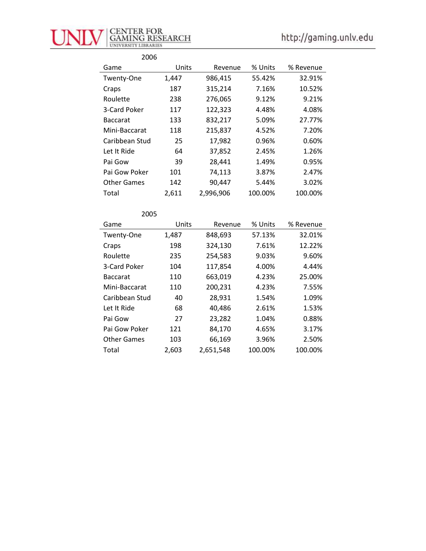

| 2006               |       |           |         |           |
|--------------------|-------|-----------|---------|-----------|
| Game               | Units | Revenue   | % Units | % Revenue |
| Twenty-One         | 1,447 | 986,415   | 55.42%  | 32.91%    |
| Craps              | 187   | 315,214   | 7.16%   | 10.52%    |
| Roulette           | 238   | 276,065   | 9.12%   | 9.21%     |
| 3-Card Poker       | 117   | 122,323   | 4.48%   | 4.08%     |
| <b>Baccarat</b>    | 133   | 832,217   | 5.09%   | 27.77%    |
| Mini-Baccarat      | 118   | 215,837   | 4.52%   | 7.20%     |
| Caribbean Stud     | 25    | 17,982    | 0.96%   | 0.60%     |
| Let It Ride        | 64    | 37,852    | 2.45%   | 1.26%     |
| Pai Gow            | 39    | 28,441    | 1.49%   | 0.95%     |
| Pai Gow Poker      | 101   | 74,113    | 3.87%   | 2.47%     |
| <b>Other Games</b> | 142   | 90,447    | 5.44%   | 3.02%     |
| Total              | 2,611 | 2,996,906 | 100.00% | 100.00%   |

| 2005               |       |           |         |           |
|--------------------|-------|-----------|---------|-----------|
| Game               | Units | Revenue   | % Units | % Revenue |
| Twenty-One         | 1,487 | 848,693   | 57.13%  | 32.01%    |
| Craps              | 198   | 324,130   | 7.61%   | 12.22%    |
| Roulette           | 235   | 254,583   | 9.03%   | 9.60%     |
| 3-Card Poker       | 104   | 117,854   | 4.00%   | 4.44%     |
| <b>Baccarat</b>    | 110   | 663,019   | 4.23%   | 25.00%    |
| Mini-Baccarat      | 110   | 200,231   | 4.23%   | 7.55%     |
| Caribbean Stud     | 40    | 28,931    | 1.54%   | 1.09%     |
| Let It Ride        | 68    | 40,486    | 2.61%   | 1.53%     |
| Pai Gow            | 27    | 23,282    | 1.04%   | 0.88%     |
| Pai Gow Poker      | 121   | 84,170    | 4.65%   | 3.17%     |
| <b>Other Games</b> | 103   | 66,169    | 3.96%   | 2.50%     |
| Total              | 2,603 | 2,651,548 | 100.00% | 100.00%   |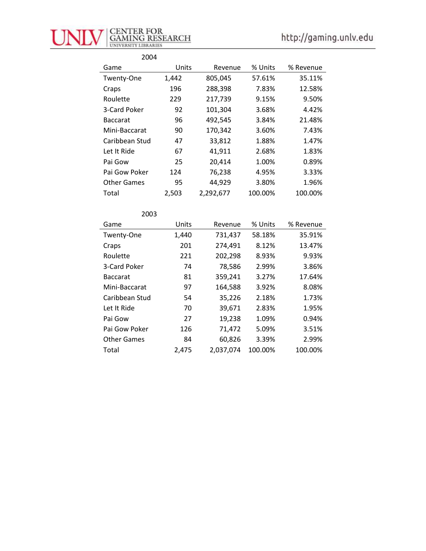

| 2004               |       |           |         |           |
|--------------------|-------|-----------|---------|-----------|
| Game               | Units | Revenue   | % Units | % Revenue |
| Twenty-One         | 1,442 | 805,045   | 57.61%  | 35.11%    |
| Craps              | 196   | 288,398   | 7.83%   | 12.58%    |
| Roulette           | 229   | 217,739   | 9.15%   | 9.50%     |
| 3-Card Poker       | 92    | 101,304   | 3.68%   | 4.42%     |
| <b>Baccarat</b>    | 96    | 492,545   | 3.84%   | 21.48%    |
| Mini-Baccarat      | 90    | 170,342   | 3.60%   | 7.43%     |
| Caribbean Stud     | 47    | 33,812    | 1.88%   | 1.47%     |
| Let It Ride        | 67    | 41,911    | 2.68%   | 1.83%     |
| Pai Gow            | 25    | 20,414    | 1.00%   | 0.89%     |
| Pai Gow Poker      | 124   | 76,238    | 4.95%   | 3.33%     |
| <b>Other Games</b> | 95    | 44,929    | 3.80%   | 1.96%     |
| Total              | 2,503 | 2,292,677 | 100.00% | 100.00%   |

| 2003               |       |           |         |           |
|--------------------|-------|-----------|---------|-----------|
| Game               | Units | Revenue   | % Units | % Revenue |
| Twenty-One         | 1,440 | 731,437   | 58.18%  | 35.91%    |
| Craps              | 201   | 274,491   | 8.12%   | 13.47%    |
| Roulette           | 221   | 202,298   | 8.93%   | 9.93%     |
| 3-Card Poker       | 74    | 78,586    | 2.99%   | 3.86%     |
| <b>Baccarat</b>    | 81    | 359,241   | 3.27%   | 17.64%    |
| Mini-Baccarat      | 97    | 164,588   | 3.92%   | 8.08%     |
| Caribbean Stud     | 54    | 35,226    | 2.18%   | 1.73%     |
| Let It Ride        | 70    | 39,671    | 2.83%   | 1.95%     |
| Pai Gow            | 27    | 19,238    | 1.09%   | 0.94%     |
| Pai Gow Poker      | 126   | 71,472    | 5.09%   | 3.51%     |
| <b>Other Games</b> | 84    | 60,826    | 3.39%   | 2.99%     |
| Total              | 2,475 | 2,037,074 | 100.00% | 100.00%   |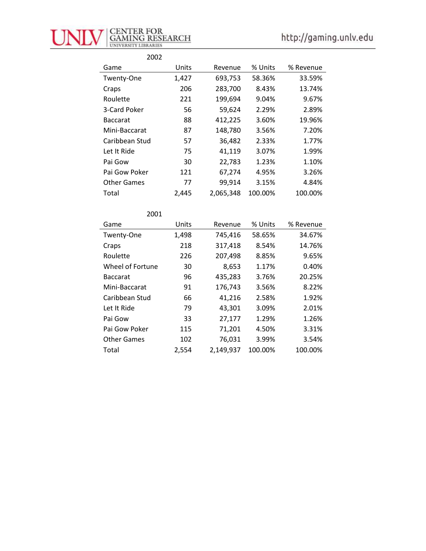

| 2002               |       |           |         |           |
|--------------------|-------|-----------|---------|-----------|
| Game               | Units | Revenue   | % Units | % Revenue |
| Twenty-One         | 1,427 | 693,753   | 58.36%  | 33.59%    |
| Craps              | 206   | 283,700   | 8.43%   | 13.74%    |
| Roulette           | 221   | 199,694   | 9.04%   | 9.67%     |
| 3-Card Poker       | 56    | 59,624    | 2.29%   | 2.89%     |
| <b>Baccarat</b>    | 88    | 412,225   | 3.60%   | 19.96%    |
| Mini-Baccarat      | 87    | 148,780   | 3.56%   | 7.20%     |
| Caribbean Stud     | 57    | 36,482    | 2.33%   | 1.77%     |
| Let It Ride        | 75    | 41,119    | 3.07%   | 1.99%     |
| Pai Gow            | 30    | 22,783    | 1.23%   | 1.10%     |
| Pai Gow Poker      | 121   | 67,274    | 4.95%   | 3.26%     |
| <b>Other Games</b> | 77    | 99,914    | 3.15%   | 4.84%     |
| Total              | 2.445 | 2,065,348 | 100.00% | 100.00%   |

| 2001               |       |           |         |           |
|--------------------|-------|-----------|---------|-----------|
| Game               | Units | Revenue   | % Units | % Revenue |
| Twenty-One         | 1,498 | 745,416   | 58.65%  | 34.67%    |
| Craps              | 218   | 317,418   | 8.54%   | 14.76%    |
| Roulette           | 226   | 207,498   | 8.85%   | 9.65%     |
| Wheel of Fortune   | 30    | 8,653     | 1.17%   | 0.40%     |
| <b>Baccarat</b>    | 96    | 435,283   | 3.76%   | 20.25%    |
| Mini-Baccarat      | 91    | 176,743   | 3.56%   | 8.22%     |
| Caribbean Stud     | 66    | 41,216    | 2.58%   | 1.92%     |
| Let It Ride        | 79    | 43,301    | 3.09%   | 2.01%     |
| Pai Gow            | 33    | 27,177    | 1.29%   | 1.26%     |
| Pai Gow Poker      | 115   | 71,201    | 4.50%   | 3.31%     |
| <b>Other Games</b> | 102   | 76,031    | 3.99%   | 3.54%     |
| Total              | 2,554 | 2,149,937 | 100.00% | 100.00%   |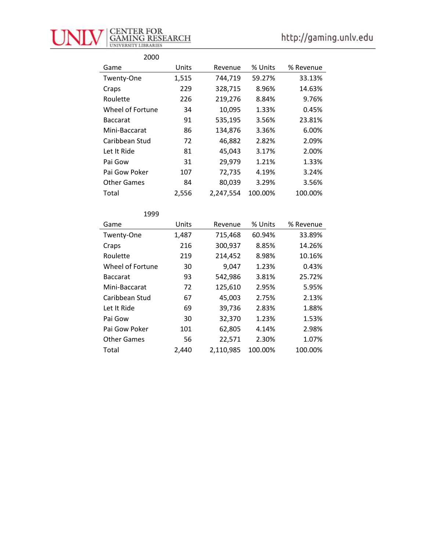

| 2000               |       |           |         |           |
|--------------------|-------|-----------|---------|-----------|
| Game               | Units | Revenue   | % Units | % Revenue |
| Twenty-One         | 1,515 | 744,719   | 59.27%  | 33.13%    |
| Craps              | 229   | 328,715   | 8.96%   | 14.63%    |
| Roulette           | 226   | 219,276   | 8.84%   | 9.76%     |
| Wheel of Fortune   | 34    | 10,095    | 1.33%   | 0.45%     |
| <b>Baccarat</b>    | 91    | 535,195   | 3.56%   | 23.81%    |
| Mini-Baccarat      | 86    | 134,876   | 3.36%   | 6.00%     |
| Caribbean Stud     | 72    | 46,882    | 2.82%   | 2.09%     |
| Let It Ride        | 81    | 45,043    | 3.17%   | 2.00%     |
| Pai Gow            | 31    | 29,979    | 1.21%   | 1.33%     |
| Pai Gow Poker      | 107   | 72,735    | 4.19%   | 3.24%     |
| <b>Other Games</b> | 84    | 80,039    | 3.29%   | 3.56%     |
| Total              | 2,556 | 2,247,554 | 100.00% | 100.00%   |

| 1999               |       |           |         |           |
|--------------------|-------|-----------|---------|-----------|
| Game               | Units | Revenue   | % Units | % Revenue |
| Twenty-One         | 1,487 | 715,468   | 60.94%  | 33.89%    |
| Craps              | 216   | 300,937   | 8.85%   | 14.26%    |
| Roulette           | 219   | 214,452   | 8.98%   | 10.16%    |
| Wheel of Fortune   | 30    | 9,047     | 1.23%   | 0.43%     |
| <b>Baccarat</b>    | 93    | 542,986   | 3.81%   | 25.72%    |
| Mini-Baccarat      | 72    | 125,610   | 2.95%   | 5.95%     |
| Caribbean Stud     | 67    | 45,003    | 2.75%   | 2.13%     |
| Let It Ride        | 69    | 39,736    | 2.83%   | 1.88%     |
| Pai Gow            | 30    | 32,370    | 1.23%   | 1.53%     |
| Pai Gow Poker      | 101   | 62,805    | 4.14%   | 2.98%     |
| <b>Other Games</b> | 56    | 22,571    | 2.30%   | 1.07%     |
| Total              | 2,440 | 2,110,985 | 100.00% | 100.00%   |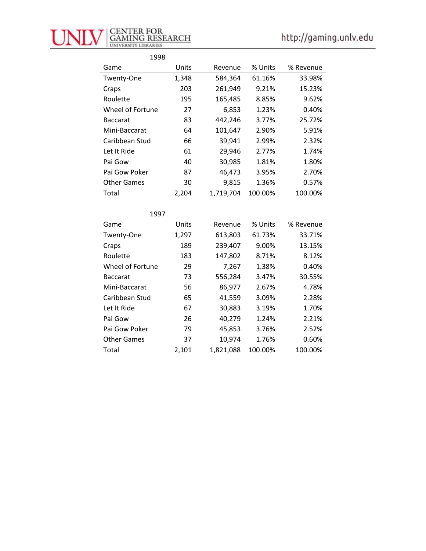

| 1998               |       |           |         |           |
|--------------------|-------|-----------|---------|-----------|
| Game               | Units | Revenue   | % Units | % Revenue |
| Twenty-One         | 1,348 | 584,364   | 61.16%  | 33.98%    |
| Craps              | 203   | 261,949   | 9.21%   | 15.23%    |
| Roulette           | 195   | 165,485   | 8.85%   | 9.62%     |
| Wheel of Fortune   | 27    | 6,853     | 1.23%   | 0.40%     |
| <b>Baccarat</b>    | 83    | 442,246   | 3.77%   | 25.72%    |
| Mini-Baccarat      | 64    | 101,647   | 2.90%   | 5.91%     |
| Caribbean Stud     | 66    | 39,941    | 2.99%   | 2.32%     |
| Let It Ride        | 61    | 29,946    | 2.77%   | 1.74%     |
| Pai Gow            | 40    | 30,985    | 1.81%   | 1.80%     |
| Pai Gow Poker      | 87    | 46,473    | 3.95%   | 2.70%     |
| <b>Other Games</b> | 30    | 9,815     | 1.36%   | 0.57%     |
| Total              | 2,204 | 1,719,704 | 100.00% | 100.00%   |

| 1997               |       |           |         |           |
|--------------------|-------|-----------|---------|-----------|
| Game               | Units | Revenue   | % Units | % Revenue |
| Twenty-One         | 1,297 | 613,803   | 61.73%  | 33.71%    |
| Craps              | 189   | 239,407   | 9.00%   | 13.15%    |
| Roulette           | 183   | 147,802   | 8.71%   | 8.12%     |
| Wheel of Fortune   | 29    | 7,267     | 1.38%   | 0.40%     |
| <b>Baccarat</b>    | 73    | 556,284   | 3.47%   | 30.55%    |
| Mini-Baccarat      | 56    | 86,977    | 2.67%   | 4.78%     |
| Caribbean Stud     | 65    | 41,559    | 3.09%   | 2.28%     |
| Let It Ride        | 67    | 30,883    | 3.19%   | 1.70%     |
| Pai Gow            | 26    | 40,279    | 1.24%   | 2.21%     |
| Pai Gow Poker      | 79    | 45,853    | 3.76%   | 2.52%     |
| <b>Other Games</b> | 37    | 10,974    | 1.76%   | 0.60%     |
| Total              | 2,101 | 1,821,088 | 100.00% | 100.00%   |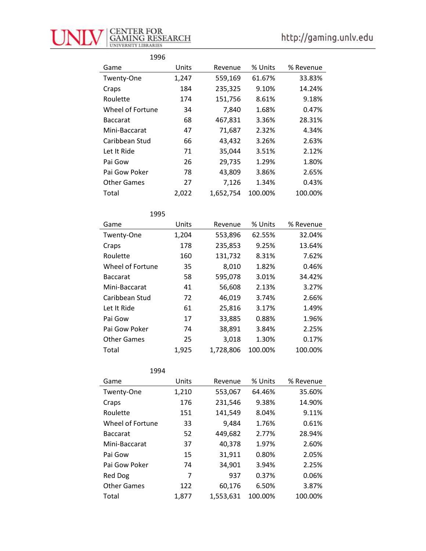

| 1996               |       |           |         |           |
|--------------------|-------|-----------|---------|-----------|
| Game               | Units | Revenue   | % Units | % Revenue |
| Twenty-One         | 1,247 | 559,169   | 61.67%  | 33.83%    |
| Craps              | 184   | 235,325   | 9.10%   | 14.24%    |
| Roulette           | 174   | 151,756   | 8.61%   | 9.18%     |
| Wheel of Fortune   | 34    | 7,840     | 1.68%   | 0.47%     |
| <b>Baccarat</b>    | 68    | 467,831   | 3.36%   | 28.31%    |
| Mini-Baccarat      | 47    | 71,687    | 2.32%   | 4.34%     |
| Caribbean Stud     | 66    | 43,432    | 3.26%   | 2.63%     |
| Let It Ride        | 71    | 35,044    | 3.51%   | 2.12%     |
| Pai Gow            | 26    | 29,735    | 1.29%   | 1.80%     |
| Pai Gow Poker      | 78    | 43,809    | 3.86%   | 2.65%     |
| <b>Other Games</b> | 27    | 7,126     | 1.34%   | 0.43%     |
| Total              | 2,022 | 1,652,754 | 100.00% | 100.00%   |

| 1995               |       |           |         |           |
|--------------------|-------|-----------|---------|-----------|
| Game               | Units | Revenue   | % Units | % Revenue |
| Twenty-One         | 1,204 | 553,896   | 62.55%  | 32.04%    |
| Craps              | 178   | 235,853   | 9.25%   | 13.64%    |
| Roulette           | 160   | 131,732   | 8.31%   | 7.62%     |
| Wheel of Fortune   | 35    | 8,010     | 1.82%   | 0.46%     |
| <b>Baccarat</b>    | 58    | 595,078   | 3.01%   | 34.42%    |
| Mini-Baccarat      | 41    | 56,608    | 2.13%   | 3.27%     |
| Caribbean Stud     | 72    | 46,019    | 3.74%   | 2.66%     |
| Let It Ride        | 61    | 25,816    | 3.17%   | 1.49%     |
| Pai Gow            | 17    | 33,885    | 0.88%   | 1.96%     |
| Pai Gow Poker      | 74    | 38,891    | 3.84%   | 2.25%     |
| <b>Other Games</b> | 25    | 3,018     | 1.30%   | 0.17%     |
| Total              | 1,925 | 1,728,806 | 100.00% | 100.00%   |

| 1994               |       |           |         |           |
|--------------------|-------|-----------|---------|-----------|
| Game               | Units | Revenue   | % Units | % Revenue |
| Twenty-One         | 1,210 | 553,067   | 64.46%  | 35.60%    |
| Craps              | 176   | 231,546   | 9.38%   | 14.90%    |
| Roulette           | 151   | 141,549   | 8.04%   | 9.11%     |
| Wheel of Fortune   | 33    | 9,484     | 1.76%   | 0.61%     |
| <b>Baccarat</b>    | 52    | 449,682   | 2.77%   | 28.94%    |
| Mini-Baccarat      | 37    | 40,378    | 1.97%   | 2.60%     |
| Pai Gow            | 15    | 31,911    | 0.80%   | 2.05%     |
| Pai Gow Poker      | 74    | 34,901    | 3.94%   | 2.25%     |
| Red Dog            | 7     | 937       | 0.37%   | 0.06%     |
| <b>Other Games</b> | 122   | 60,176    | 6.50%   | 3.87%     |
| Total              | 1,877 | 1,553,631 | 100.00% | 100.00%   |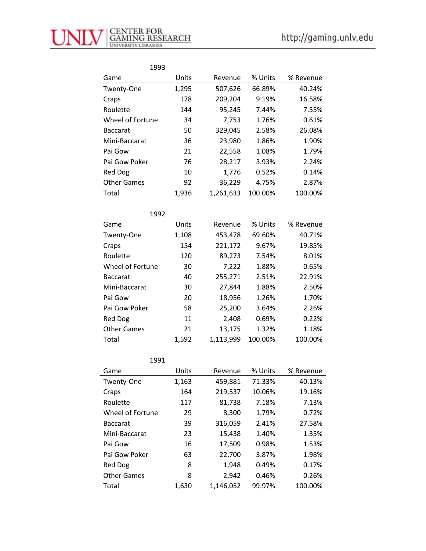| 1993               |       |           |         |           |
|--------------------|-------|-----------|---------|-----------|
| Game               | Units | Revenue   | % Units | % Revenue |
| Twenty-One         | 1,295 | 507,626   | 66.89%  | 40.24%    |
| Craps              | 178   | 209,204   | 9.19%   | 16.58%    |
| Roulette           | 144   | 95,245    | 7.44%   | 7.55%     |
| Wheel of Fortune   | 34    | 7,753     | 1.76%   | 0.61%     |
| <b>Baccarat</b>    | 50    | 329,045   | 2.58%   | 26.08%    |
| Mini-Baccarat      | 36    | 23,980    | 1.86%   | 1.90%     |
| Pai Gow            | 21    | 22,558    | 1.08%   | 1.79%     |
| Pai Gow Poker      | 76    | 28,217    | 3.93%   | 2.24%     |
| Red Dog            | 10    | 1,776     | 0.52%   | 0.14%     |
| <b>Other Games</b> | 92    | 36,229    | 4.75%   | 2.87%     |
| Total              | 1,936 | 1,261,633 | 100.00% | 100.00%   |

| 1992               |       |           |         |           |
|--------------------|-------|-----------|---------|-----------|
| Game               | Units | Revenue   | % Units | % Revenue |
| Twenty-One         | 1,108 | 453,478   | 69.60%  | 40.71%    |
| Craps              | 154   | 221,172   | 9.67%   | 19.85%    |
| Roulette           | 120   | 89,273    | 7.54%   | 8.01%     |
| Wheel of Fortune   | 30    | 7,222     | 1.88%   | 0.65%     |
| <b>Baccarat</b>    | 40    | 255,271   | 2.51%   | 22.91%    |
| Mini-Baccarat      | 30    | 27,844    | 1.88%   | 2.50%     |
| Pai Gow            | 20    | 18,956    | 1.26%   | 1.70%     |
| Pai Gow Poker      | 58    | 25,200    | 3.64%   | 2.26%     |
| Red Dog            | 11    | 2,408     | 0.69%   | 0.22%     |
| <b>Other Games</b> | 21    | 13,175    | 1.32%   | 1.18%     |
| Total              | 1,592 | 1,113,999 | 100.00% | 100.00%   |

| 1991               |       |           |         |           |
|--------------------|-------|-----------|---------|-----------|
| Game               | Units | Revenue   | % Units | % Revenue |
| Twenty-One         | 1,163 | 459,881   | 71.33%  | 40.13%    |
| Craps              | 164   | 219,537   | 10.06%  | 19.16%    |
| Roulette           | 117   | 81,738    | 7.18%   | 7.13%     |
| Wheel of Fortune   | 29    | 8,300     | 1.79%   | 0.72%     |
| <b>Baccarat</b>    | 39    | 316,059   | 2.41%   | 27.58%    |
| Mini-Baccarat      | 23    | 15,438    | 1.40%   | 1.35%     |
| Pai Gow            | 16    | 17,509    | 0.98%   | 1.53%     |
| Pai Gow Poker      | 63    | 22,700    | 3.87%   | 1.98%     |
| Red Dog            | 8     | 1,948     | 0.49%   | 0.17%     |
| <b>Other Games</b> | 8     | 2,942     | 0.46%   | 0.26%     |
| Total              | 1,630 | 1,146,052 | 99.97%  | 100.00%   |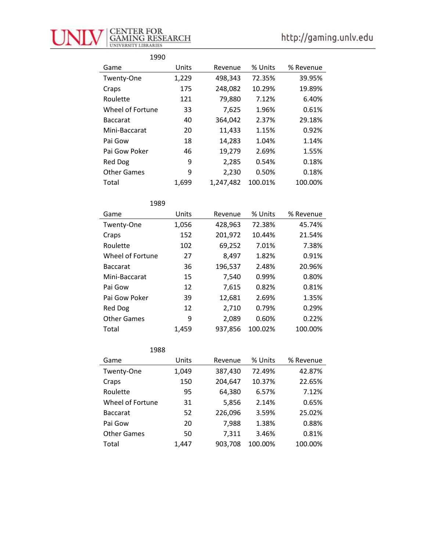

| 1990               |       |           |         |           |
|--------------------|-------|-----------|---------|-----------|
| Game               | Units | Revenue   | % Units | % Revenue |
| Twenty-One         | 1,229 | 498,343   | 72.35%  | 39.95%    |
| Craps              | 175   | 248,082   | 10.29%  | 19.89%    |
| Roulette           | 121   | 79,880    | 7.12%   | 6.40%     |
| Wheel of Fortune   | 33    | 7,625     | 1.96%   | 0.61%     |
| <b>Baccarat</b>    | 40    | 364,042   | 2.37%   | 29.18%    |
| Mini-Baccarat      | 20    | 11,433    | 1.15%   | 0.92%     |
| Pai Gow            | 18    | 14,283    | 1.04%   | 1.14%     |
| Pai Gow Poker      | 46    | 19,279    | 2.69%   | 1.55%     |
| <b>Red Dog</b>     | 9     | 2,285     | 0.54%   | 0.18%     |
| <b>Other Games</b> | 9     | 2,230     | 0.50%   | 0.18%     |
| Total              | 1,699 | 1,247,482 | 100.01% | 100.00%   |

| 1989               |       |         |         |           |
|--------------------|-------|---------|---------|-----------|
| Game               | Units | Revenue | % Units | % Revenue |
| Twenty-One         | 1,056 | 428,963 | 72.38%  | 45.74%    |
| Craps              | 152   | 201,972 | 10.44%  | 21.54%    |
| Roulette           | 102   | 69,252  | 7.01%   | 7.38%     |
| Wheel of Fortune   | 27    | 8,497   | 1.82%   | 0.91%     |
| <b>Baccarat</b>    | 36    | 196,537 | 2.48%   | 20.96%    |
| Mini-Baccarat      | 15    | 7,540   | 0.99%   | 0.80%     |
| Pai Gow            | 12    | 7,615   | 0.82%   | 0.81%     |
| Pai Gow Poker      | 39    | 12,681  | 2.69%   | 1.35%     |
| Red Dog            | 12    | 2,710   | 0.79%   | 0.29%     |
| <b>Other Games</b> | 9     | 2,089   | 0.60%   | 0.22%     |
| Total              | 1,459 | 937,856 | 100.02% | 100.00%   |

| 1988               |       |         |         |           |
|--------------------|-------|---------|---------|-----------|
| Game               | Units | Revenue | % Units | % Revenue |
| Twenty-One         | 1,049 | 387,430 | 72.49%  | 42.87%    |
| Craps              | 150   | 204,647 | 10.37%  | 22.65%    |
| Roulette           | 95    | 64,380  | 6.57%   | 7.12%     |
| Wheel of Fortune   | 31    | 5,856   | 2.14%   | 0.65%     |
| <b>Baccarat</b>    | 52    | 226,096 | 3.59%   | 25.02%    |
| Pai Gow            | 20    | 7,988   | 1.38%   | 0.88%     |
| <b>Other Games</b> | 50    | 7,311   | 3.46%   | 0.81%     |
| Total              | 1.447 | 903,708 | 100.00% | 100.00%   |